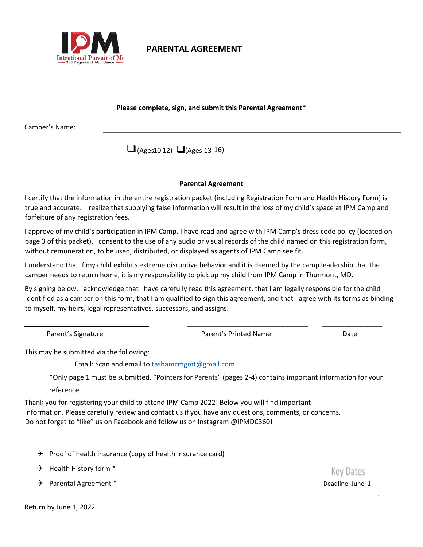

## **PARENTAL AGREEMENT**

#### **Please complete, sign, and submit this Parental Agreement\***

Camper's Name:

(Ages 10 12) □ (Ages 13-16) 16

#### **Parental Agreement**

I certify that the information in the entire registration packet (including Registration Form and Health History Form) is true and accurate. I realize that supplying false information will result in the loss of my child's space at IPM Camp and forfeiture of any registration fees.

I approve of my child's participation in IPM Camp. I have read and agree with IPM Camp's dress code policy (located on page 3 of this packet). I consent to the use of any audio or visual records of the child named on this registration form, without remuneration, to be used, distributed, or displayed as agents of IPM Camp see fit.

I understand that if my child exhibits extreme disruptive behavior and it is deemed by the camp leadership that the camper needs to return home, it is my responsibility to pick up my child from IPM Camp in Thurmont, MD.

By signing below, I acknowledge that I have carefully read this agreement, that I am legally responsible for the child identified as a camper on this form, that I am qualified to sign this agreement, and that I agree with its terms as binding to myself, my heirs, legal representatives, successors, and assigns.

\_\_\_\_\_\_\_\_\_\_\_\_\_\_\_\_\_\_\_\_\_\_\_\_\_\_\_\_\_\_\_\_ \_\_\_\_\_\_\_\_\_\_\_\_\_\_\_\_

Parent's Signature **Parent's Printed Name** Parent's Printed Name **Date** 

**Key Dates** 

This may be submitted via the following:

Email: Scan and email to tashamcmgmt@gmail.com

\*Only page 1 must be submitted. "Pointers for Parents" (pages 2-4) contains important information for your reference.

Thank you for registering your child to attend IPM Camp 2022! Below you will find important information. Please carefully review and contact us if you have any questions, comments, or concerns. Do not forget to "like" us on Facebook and follow us on Instagram @IPMDC360!

- $\rightarrow$  Proof of health insurance (copy of health insurance card)
- $\rightarrow$  Health History form  $*$
- Parental Agreement \* Deadline: June 1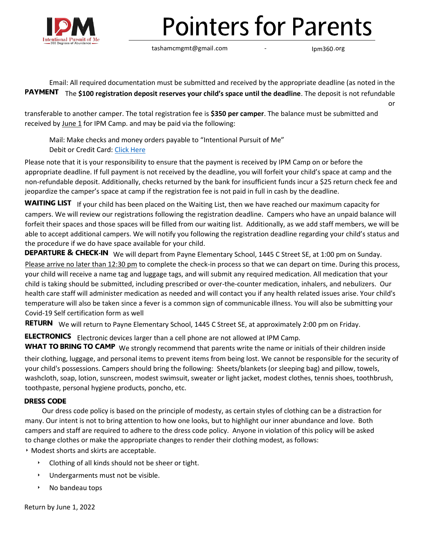

# **Pointers for Parents**

tashamcmgmt@gmail .com

- Ipm360.org

Email: All required documentation must be submitted and received by the appropriate deadline (as noted in the

PAYMENT The \$100 registration deposit reserves your child's space until the deadline. The deposit is not refundable or

transferable to another camper. The total registration fee is **\$350 per camper**. The balance must be submitted and received by June 1 for IPM Camp. and may be paid via the following:

Mail: Make checks and money orders payable to "Intentional Pursuit of Me" Debit or Credit Card: [Click Here](https://www.tickettailor.com/events/ipmcamp/507165)

Please note that it is your responsibility to ensure that the payment is received by IPM Camp on or before the appropriate deadline. If full payment is not received by the deadline, you will forfeit your child's space at camp and the non-refundable deposit. Additionally, checks returned by the bank for insufficient funds incur a \$25 return check fee and jeopardize the camper's space at camp if the registration fee is not paid in full in cash by the deadline.

WAITING LIST If your child has been placed on the Waiting List, then we have reached our maximum capacity for campers. We will review our registrations following the registration deadline. Campers who have an unpaid balance will forfeit their spaces and those spaces will be filled from our waiting list. Additionally, as we add staff members, we will be able to accept additional campers. We will notify you following the registration deadline regarding your child's status and the procedure if we do have space available for your child.

DEPARTURE & CHECK-IN We will depart from Payne Elementary School, 1445 C Street SE, at 1:00 pm on Sunday. Please arrive no later than 12:30 pm to complete the check-in process so that we can depart on time. During this process, your child will receive a name tag and luggage tags, and will submit any required medication. All medication that your child is taking should be submitted, including prescribed or over-the-counter medication, inhalers, and nebulizers. Our health care staff will administer medication as needed and will contact you if any health related issues arise. Your child's temperature will also be taken since a fever is a common sign of communicable illness. You will also be submitting your Covid-19 Self certification form as well

RETURN We will return to Payne Elementary School, 1445 C Street SE, at approximately 2:00 pm on Friday.

**ELECTRONICS** Electronic devices larger than a cell phone are not allowed at IPM Camp.

WHAT TO BRING TO CAMP We strongly recommend that parents write the name or initials of their children inside their clothing, luggage, and personal items to prevent items from being lost. We cannot be responsible for the security of your child's possessions. Campers should bring the following: Sheets/blankets (or sleeping bag) and pillow, towels, washcloth, soap, lotion, sunscreen, modest swimsuit, sweater or light jacket, modest clothes, tennis shoes, toothbrush, toothpaste, personal hygiene products, poncho, etc.

## **DRESS CODE**

 Our dress code policy is based on the principle of modesty, as certain styles of clothing can be a distraction for many. Our intent is not to bring attention to how one looks, but to highlight our inner abundance and love. Both campers and staff are required to adhere to the dress code policy. Anyone in violation of this policy will be asked to change clothes or make the appropriate changes to render their clothing modest, as follows:

‣ Modest shorts and skirts are acceptable.

- ‣ Clothing of all kinds should not be sheer or tight.
- ‣ Undergarments must not be visible.
- ‣ No bandeau tops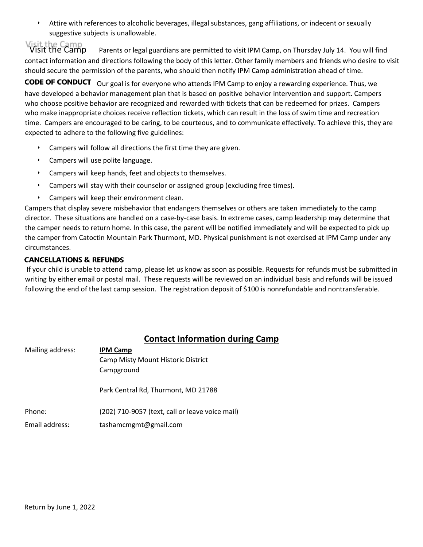‣ Attire with references to alcoholic beverages, illegal substances, gang affiliations, or indecent or sexually suggestive subjects is unallowable.

/isit the Camp<br>Visit the Camp Parents or legal guardians are permitted to visit IPM Camp, on Thursday July 14. You will find contact information and directions following the body of this letter. Other family members and friends who desire to visit should secure the permission of the parents, who should then notify IPM Camp administration ahead of time.

**CODE OF CONDUCT** Our goal is for everyone who attends IPM Camp to enjoy a rewarding experience. Thus, we have developed a behavior management plan that is based on positive behavior intervention and support. Campers who choose positive behavior are recognized and rewarded with tickets that can be redeemed for prizes. Campers who make inappropriate choices receive reflection tickets, which can result in the loss of swim time and recreation time. Campers are encouraged to be caring, to be courteous, and to communicate effectively. To achieve this, they are expected to adhere to the following five guidelines:

- Campers will follow all directions the first time they are given.
- $\cdot$  Campers will use polite language.
- ‣ Campers will keep hands, feet and objects to themselves.
- ‣ Campers will stay with their counselor or assigned group (excluding free times).
- ‣ Campers will keep their environment clean.

Campers that display severe misbehavior that endangers themselves or others are taken immediately to the camp director. These situations are handled on a case-by-case basis. In extreme cases, camp leadership may determine that the camper needs to return home. In this case, the parent will be notified immediately and will be expected to pick up the camper from Catoctin Mountain Park Thurmont, MD. Physical punishment is not exercised at IPM Camp under any circumstances.

## **CANCELLATIONS & REFUNDS**

If your child is unable to attend camp, please let us know as soon as possible. Requests for refunds must be submitted in writing by either email or postal mail. These requests will be reviewed on an individual basis and refunds will be issued following the end of the last camp session. The registration deposit of \$100 is nonrefundable and nontransferable.

## **Contact Information during Camp**

| Mailing address: | <b>IPM Camp</b>                                 |
|------------------|-------------------------------------------------|
|                  | Camp Misty Mount Historic District              |
|                  | Campground                                      |
|                  |                                                 |
|                  | Park Central Rd, Thurmont, MD 21788             |
|                  |                                                 |
| Phone:           | (202) 710-9057 (text, call or leave voice mail) |
| Email address:   | tashamcmgmt@gmail.com                           |